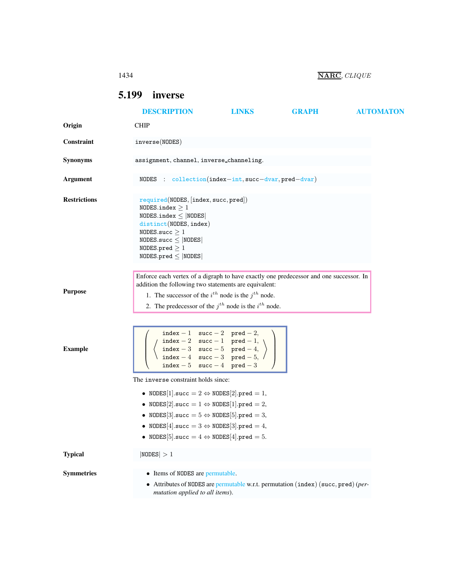## 1434 **NARC**, *CLIQUE*

# <span id="page-0-0"></span>5.199 inverse

|                     | <b>DESCRIPTION</b>                                                                                                                                                                                                                                                                                         | <b>LINKS</b> | <b>GRAPH</b> | <b>AUTOMATON</b> |
|---------------------|------------------------------------------------------------------------------------------------------------------------------------------------------------------------------------------------------------------------------------------------------------------------------------------------------------|--------------|--------------|------------------|
| Origin              | <b>CHIP</b>                                                                                                                                                                                                                                                                                                |              |              |                  |
| Constraint          | inverse(MODES)                                                                                                                                                                                                                                                                                             |              |              |                  |
| <b>Synonyms</b>     | assignment, channel, inverse_channeling.                                                                                                                                                                                                                                                                   |              |              |                  |
| <b>Argument</b>     | NODES : $\text{collection}(index-int, succ-dvar, pred-dvar)$                                                                                                                                                                                                                                               |              |              |                  |
| <b>Restrictions</b> | required(NODES, [index, succ, pred])<br>NODES.index $\geq 1$<br>$NODES.index \leq  NODES $<br>distinct(NODES, index)<br>NODES.succ $\geq 1$<br>$NODES.size \leq  NODES $<br>NODES.pred $\geq 1$<br>$NODES.pred \leq  NODES $                                                                               |              |              |                  |
| <b>Purpose</b>      | Enforce each vertex of a digraph to have exactly one predecessor and one successor. In<br>addition the following two statements are equivalent:<br>1. The successor of the $i^{th}$ node is the $j^{th}$ node.<br>2. The predecessor of the $j^{th}$ node is the $i^{th}$ node.                            |              |              |                  |
| <b>Example</b>      | index - 1 succ - 2 pred - 2,<br>$\begin{tabular}{ll} index-2 & succ-1 & pred-1, \\ index-3 & succ-5 & pred-4, \\ index-4 & succ-3 & pred-5, \end{tabular}$<br>index $-5$ succ $-4$ pred $-3$                                                                                                               |              |              |                  |
|                     | The inverse constraint holds since:                                                                                                                                                                                                                                                                        |              |              |                  |
|                     | • NODES[1].succ = $2 \Leftrightarrow$ NODES[2].pred = 1,<br>• NODES[2].succ = $1 \Leftrightarrow$ NODES[1].pred = 2,<br>• NODES [3].succ = $5 \Leftrightarrow$ NODES [5].pred = 3,<br>• NODES[4].succ = $3 \Leftrightarrow$ NODES[3].pred = 4,<br>• NODES[5].succ = $4 \Leftrightarrow$ NODES[4].pred = 5. |              |              |                  |
| <b>Typical</b>      | NODES  > 1                                                                                                                                                                                                                                                                                                 |              |              |                  |
| <b>Symmetries</b>   | • Items of NODES are permutable.<br>• Attributes of NODES are permutable w.r.t. permutation (index) (succ, pred) (per-<br>mutation applied to all items).                                                                                                                                                  |              |              |                  |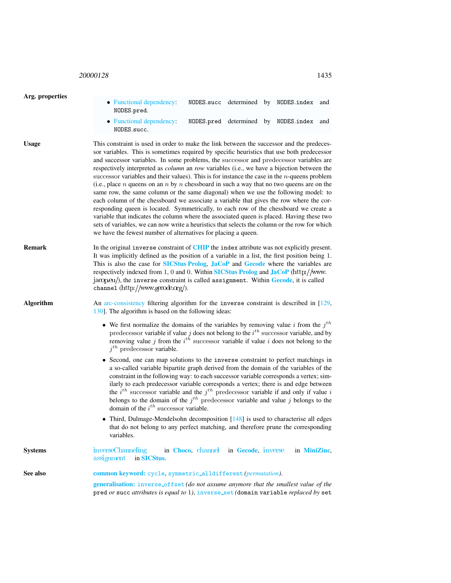## <sup>20000128</sup> 1435

<span id="page-1-0"></span>

| Arg. properties |                                                                                                                                                                                                                                                                                                                                                                                                                                                                                                                                                                                                                                                                                                                                                                                                                                                                                                                                                                                                                                                                                                                                                |                                      |  |  |                                      |     |  |  |
|-----------------|------------------------------------------------------------------------------------------------------------------------------------------------------------------------------------------------------------------------------------------------------------------------------------------------------------------------------------------------------------------------------------------------------------------------------------------------------------------------------------------------------------------------------------------------------------------------------------------------------------------------------------------------------------------------------------------------------------------------------------------------------------------------------------------------------------------------------------------------------------------------------------------------------------------------------------------------------------------------------------------------------------------------------------------------------------------------------------------------------------------------------------------------|--------------------------------------|--|--|--------------------------------------|-----|--|--|
|                 | • Functional dependency:<br>NODES.pred.                                                                                                                                                                                                                                                                                                                                                                                                                                                                                                                                                                                                                                                                                                                                                                                                                                                                                                                                                                                                                                                                                                        |                                      |  |  | NODES.succ determined by NODES.index | and |  |  |
|                 | • Functional dependency:<br>NODES.succ.                                                                                                                                                                                                                                                                                                                                                                                                                                                                                                                                                                                                                                                                                                                                                                                                                                                                                                                                                                                                                                                                                                        |                                      |  |  | NODES.pred determined by NODES.index | and |  |  |
| <b>Usage</b>    | This constraint is used in order to make the link between the successor and the predeces-<br>sor variables. This is sometimes required by specific heuristics that use both predecessor<br>and successor variables. In some problems, the successor and predecessor variables are<br>respectively interpreted as <i>column</i> an <i>row</i> variables (i.e., we have a bijection between the<br>successor variables and their values). This is for instance the case in the $n$ -queens problem<br>(i.e., place $n$ queens on an $n$ by $n$ chessboard in such a way that no two queens are on the<br>same row, the same column or the same diagonal) when we use the following model: to<br>each column of the chessboard we associate a variable that gives the row where the cor-<br>responding queen is located. Symmetrically, to each row of the chessboard we create a<br>variable that indicates the column where the associated queen is placed. Having these two<br>sets of variables, we can now write a heuristics that selects the column or the row for which<br>we have the fewest number of alternatives for placing a queen. |                                      |  |  |                                      |     |  |  |
| <b>Remark</b>   | In the original inverse constraint of CHIP the index attribute was not explicitly present.<br>It was implicitly defined as the position of a variable in a list, the first position being 1.<br>This is also the case for <b>SICStus Prolog</b> , JaCoP and Gecode where the variables are<br>respectively indexed from 1, 0 and 0. Within <b>SICStus Prolog and JaCoP</b> (http://www.<br>jacop.eu/), the inverse constraint is called assignment. Within Gecode, it is called<br>channel $(\text{http://www.gecode.org/}).$                                                                                                                                                                                                                                                                                                                                                                                                                                                                                                                                                                                                                  |                                      |  |  |                                      |     |  |  |
| Algorithm       | An arc-consistency filtering algorithm for the inverse constraint is described in [129,<br>130]. The algorithm is based on the following ideas:                                                                                                                                                                                                                                                                                                                                                                                                                                                                                                                                                                                                                                                                                                                                                                                                                                                                                                                                                                                                |                                      |  |  |                                      |     |  |  |
|                 | • We first normalize the domains of the variables by removing value i from the $jth$<br>predecessor variable if value j does not belong to the $i^{th}$ successor variable, and by<br>removing value j from the $i^{th}$ successor variable if value i does not belong to the<br>$jth$ predecessor variable.                                                                                                                                                                                                                                                                                                                                                                                                                                                                                                                                                                                                                                                                                                                                                                                                                                   |                                      |  |  |                                      |     |  |  |
|                 | • Second, one can map solutions to the inverse constraint to perfect matchings in<br>a so-called variable bipartite graph derived from the domain of the variables of the<br>constraint in the following way: to each successor variable corresponds a vertex; sim-<br>ilarly to each predecessor variable corresponds a vertex; there is and edge between<br>the $i^{th}$ successor variable and the $j^{th}$ predecessor variable if and only if value i<br>belongs to the domain of the $j^{th}$ predecessor variable and value j belongs to the<br>domain of the $i^{th}$ successor variable.                                                                                                                                                                                                                                                                                                                                                                                                                                                                                                                                              |                                      |  |  |                                      |     |  |  |
|                 | Third, Dulmage-Mendelsohn decomposition [148] is used to characterise all edges<br>that do not belong to any perfect matching, and therefore prune the corresponding<br>variables.                                                                                                                                                                                                                                                                                                                                                                                                                                                                                                                                                                                                                                                                                                                                                                                                                                                                                                                                                             |                                      |  |  |                                      |     |  |  |
| <b>Systems</b>  | inverseChanneling<br>assignment<br>in SICStus.                                                                                                                                                                                                                                                                                                                                                                                                                                                                                                                                                                                                                                                                                                                                                                                                                                                                                                                                                                                                                                                                                                 | in Choco, channel in Gecode, inverse |  |  | in MiniZinc,                         |     |  |  |
| See also        | common keyword: cycle, symmetric_alldifferent (permutation).                                                                                                                                                                                                                                                                                                                                                                                                                                                                                                                                                                                                                                                                                                                                                                                                                                                                                                                                                                                                                                                                                   |                                      |  |  |                                      |     |  |  |
|                 | generalisation: inverse_offset (do not assume anymore that the smallest value of the<br>pred or succ attributes is equal to 1), inverse_set (domain variable replaced by set                                                                                                                                                                                                                                                                                                                                                                                                                                                                                                                                                                                                                                                                                                                                                                                                                                                                                                                                                                   |                                      |  |  |                                      |     |  |  |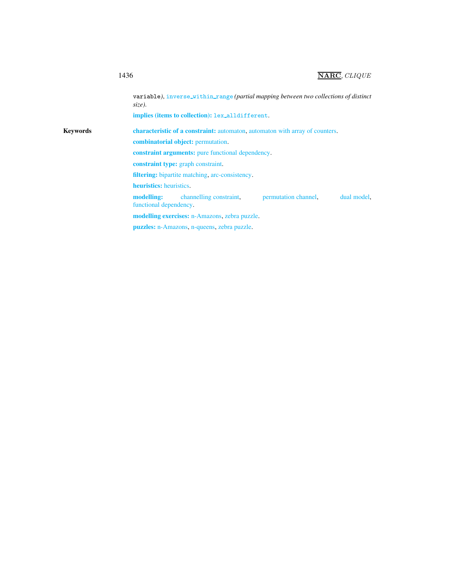## 1436 **NARC**, *CLIQUE*

variable), inverse\_within\_range (partial mapping between two collections of distinct *size)*. implies (items to collection): lex alldifferent. Keywords characteristic of a constraint: automaton, automaton with array of counters. combinatorial object: permutation. constraint arguments: pure functional dependency. constraint type: graph constraint. filtering: bipartite matching, arc-consistency. heuristics: heuristics. modelling: channelling constraint, permutation channel, dual model, functional dependency. modelling exercises: n-Amazons, zebra puzzle. puzzles: n-Amazons, n-queens, zebra puzzle.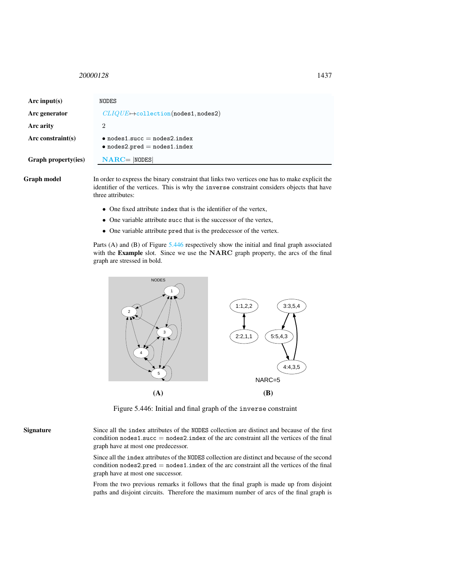#### <span id="page-3-0"></span><sup>20000128</sup> 1437

| Arc input(s)         | NODES                                                                        |
|----------------------|------------------------------------------------------------------------------|
| Arc generator        | $CLIQUE \rightarrow collection(nodes1, nodes2)$                              |
| Arc arity            | 2                                                                            |
| Arc constraint $(s)$ | $\bullet$ nodes1.succ = nodes2.index<br>$\bullet$ nodes2.pred = nodes1.index |
| Graph property(ies)  | $NARC =  NODES $                                                             |
|                      |                                                                              |

Graph model In order to express the binary constraint that links two vertices one has to make explicit the identifier of the vertices. This is why the inverse constraint considers objects that have three attributes:

- One fixed attribute index that is the identifier of the vertex,
- One variable attribute succ that is the successor of the vertex,
- One variable attribute pred that is the predecessor of the vertex.

Parts (A) and (B) of Figure [5.446](#page-3-1) respectively show the initial and final graph associated with the Example slot. Since we use the NARC graph property, the arcs of the final graph are stressed in bold.



<span id="page-3-1"></span>Figure 5.446: Initial and final graph of the inverse constraint

Signature Since all the index attributes of the NODES collection are distinct and because of the first condition  $nodes1.succ = nodes2.index$  of the arc constraint all the vertices of the final graph have at most one predecessor.

> Since all the index attributes of the NODES collection are distinct and because of the second condition  $nodes2.pred = nodes1.index$  of the arc constraint all the vertices of the final graph have at most one successor.

> From the two previous remarks it follows that the final graph is made up from disjoint paths and disjoint circuits. Therefore the maximum number of arcs of the final graph is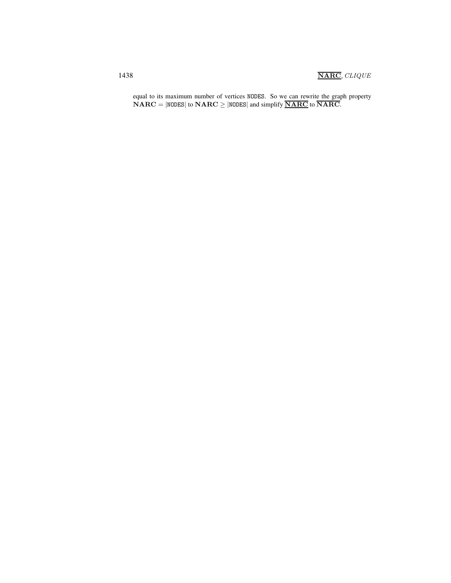equal to its maximum number of vertices NODES. So we can rewrite the graph property  $\mathbf{NARC} = |\mathbf{NODES}|$  to  $\mathbf{NARC} \ge |\mathbf{NODES}|$  and simplify  $\overline{\mathbf{NARC}}$  to  $\overline{\mathbf{NARC}}$ .